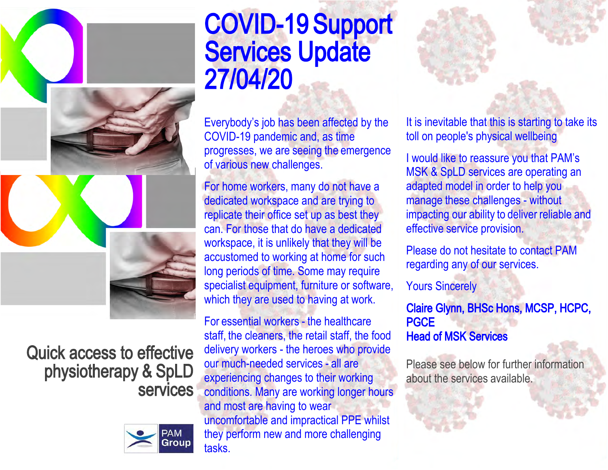

# Quick access to effective physiotherapy & SpLD services



# COVID-19 Support Services Update 27/04/20

E[verybody's job has been affected by the](https://ohiosystems.co.uk/)  COVID-19 pandemic and, as time progresses, we are seeing the emergence of various new challenges.

For home workers, many do not have a dedicated workspace and are trying to replicate their office set up as best they can. For those that do have a dedicated workspace, it is unlikely that they will be accustomed to working at home for such long periods of time. Some may require specialist equipment, furniture or software, which they are used to having at work.

For essential workers - the healthcare staff, the cleaners, the retail staff, the food delivery workers - the heroes who provide our much-needed services - all are experiencing changes to their working conditions. Many are working longer hours and most are having to wear uncomfortable and impractical PPE whilst they perform new and more challenging tasks.

It is inevitable that this is starting to take its toll on people's physical wellbeing

I would like to reassure you that PAM's MSK & SpLD services are operating an adapted model in order to help you manage these challenges - without impacting our ability to deliver reliable and effective service provision.

Please do not hesitate to contact PAM regarding any of our services.

Yours Sincerely

Claire Glynn, BHSc Hons, MCSP, HCPC, **PGCE** Head of MSK Services

Please see below for further information about the services available.